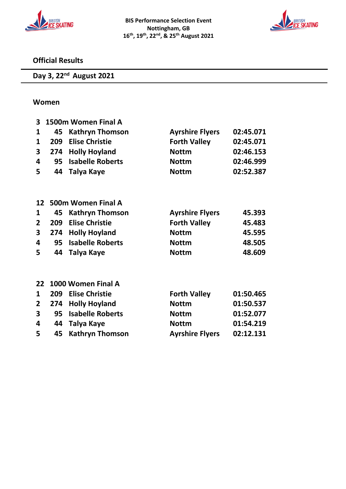



#### **Official Results**

**Day 3, 22nd August 2021**

#### **Women**

| 3                       | 1500m Women Final A |                         |                        |           |  |  |
|-------------------------|---------------------|-------------------------|------------------------|-----------|--|--|
| 1                       | 45                  | <b>Kathryn Thomson</b>  | <b>Ayrshire Flyers</b> | 02:45.071 |  |  |
| 1                       | 209                 | <b>Elise Christie</b>   | <b>Forth Valley</b>    | 02:45.071 |  |  |
| 3                       | 274                 | <b>Holly Hoyland</b>    | <b>Nottm</b>           | 02:46.153 |  |  |
| $\overline{\mathbf{4}}$ | 95                  | <b>Isabelle Roberts</b> | <b>Nottm</b>           | 02:46.999 |  |  |
| 5                       | 44                  | Talya Kaye              | <b>Nottm</b>           | 02:52.387 |  |  |
| 12                      |                     | 500m Women Final A      |                        |           |  |  |
| $\mathbf{1}$            | 45                  | <b>Kathryn Thomson</b>  | <b>Ayrshire Flyers</b> | 45.393    |  |  |
| $\overline{2}$          | 209                 | <b>Elise Christie</b>   | <b>Forth Valley</b>    | 45.483    |  |  |
| 3                       | 274                 | <b>Holly Hoyland</b>    | <b>Nottm</b>           | 45.595    |  |  |
| $\overline{\mathbf{4}}$ | 95                  | <b>Isabelle Roberts</b> | <b>Nottm</b>           | 48.505    |  |  |
| 5                       | 44                  |                         |                        | 48.609    |  |  |
|                         |                     | Talya Kaye              | <b>Nottm</b>           |           |  |  |
|                         |                     |                         |                        |           |  |  |
| 22                      |                     | 1000 Women Final A      |                        |           |  |  |
| 1                       | 209                 | <b>Elise Christie</b>   | <b>Forth Valley</b>    | 01:50.465 |  |  |
| $\overline{2}$          | 274                 | <b>Holly Hoyland</b>    | <b>Nottm</b>           | 01:50.537 |  |  |
| 3                       | 95                  | <b>Isabelle Roberts</b> | <b>Nottm</b>           | 01:52.077 |  |  |
| 4                       | 44                  | Talya Kaye              | <b>Nottm</b>           | 01:54.219 |  |  |
| 5                       | 45                  | <b>Kathryn Thomson</b>  | <b>Ayrshire Flyers</b> | 02:12.131 |  |  |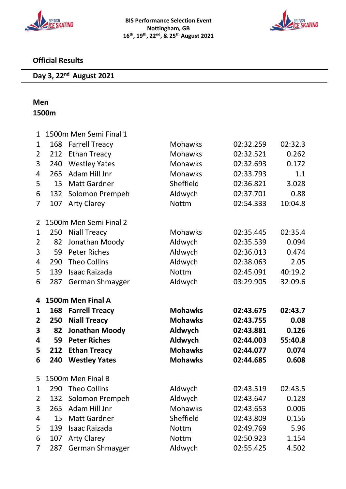



#### **Official Results**

## **Day 3, 22nd August 2021**

# **Men**

### **1500m**

| 1              |     | 1500m Men Semi Final 1 |                         |                        |         |
|----------------|-----|------------------------|-------------------------|------------------------|---------|
| 1              | 168 | <b>Farrell Treacy</b>  | <b>Mohawks</b>          | 02:32.259              | 02:32.3 |
| 2              | 212 | <b>Ethan Treacy</b>    | <b>Mohawks</b>          | 02:32.521              | 0.262   |
| 3              | 240 | <b>Westley Yates</b>   | <b>Mohawks</b>          | 02:32.693              | 0.172   |
| 4              | 265 | Adam Hill Jnr          | <b>Mohawks</b>          | 02:33.793              | 1.1     |
| 5              | 15  | <b>Matt Gardner</b>    | Sheffield               | 02:36.821              | 3.028   |
| 6              | 132 | Solomon Prempeh        | Aldwych                 | 02:37.701              | 0.88    |
| 7              | 107 | <b>Arty Clarey</b>     | <b>Nottm</b>            | 02:54.333              | 10:04.8 |
| 2              |     | 1500m Men Semi Final 2 |                         |                        |         |
| 1              | 250 | <b>Niall Treacy</b>    | <b>Mohawks</b>          | 02:35.445              | 02:35.4 |
| $\overline{2}$ | 82  | Jonathan Moody         | Aldwych                 | 02:35.539              | 0.094   |
| 3              | 59  | <b>Peter Riches</b>    | Aldwych                 | 02:36.013              | 0.474   |
| 4              | 290 | <b>Theo Collins</b>    | Aldwych                 | 02:38.063              | 2.05    |
| 5              | 139 | <b>Isaac Raizada</b>   | <b>Nottm</b>            | 02:45.091              | 40:19.2 |
| 6              | 287 | German Shmayger        | Aldwych                 | 03:29.905              | 32:09.6 |
|                |     |                        |                         |                        |         |
| 4              |     | 1500m Men Final A      |                         |                        |         |
| 1              | 168 | <b>Farrell Treacy</b>  | <b>Mohawks</b>          | 02:43.675              | 02:43.7 |
| 2              | 250 | <b>Niall Treacy</b>    | <b>Mohawks</b>          | 02:43.755              | 0.08    |
| 3              | 82  | <b>Jonathan Moody</b>  | Aldwych                 | 02:43.881              | 0.126   |
| 4              | 59  | <b>Peter Riches</b>    | Aldwych                 | 02:44.003              | 55:40.8 |
| 5              | 212 | <b>Ethan Treacy</b>    | <b>Mohawks</b>          | 02:44.077              | 0.074   |
| 6              | 240 | <b>Westley Yates</b>   | <b>Mohawks</b>          | 02:44.685              | 0.608   |
| 5              |     | 1500m Men Final B      |                         |                        |         |
| $\mathbf{1}$   |     | 290 Theo Collins       | Aldwych                 | 02:43.519              | 02:43.5 |
| 2              | 132 | Solomon Prempeh        | Aldwych                 | 02:43.647              | 0.128   |
| 3              | 265 | Adam Hill Jnr          | Mohawks                 | 02:43.653              | 0.006   |
| 4              | 15  | <b>Matt Gardner</b>    | Sheffield               | 02:43.809              | 0.156   |
| 5              | 139 | <b>Isaac Raizada</b>   | <b>Nottm</b>            | 02:49.769              | 5.96    |
| 6              | 107 | <b>Arty Clarey</b>     | <b>Nottm</b><br>Aldwych | 02:50.923<br>02:55.425 | 1.154   |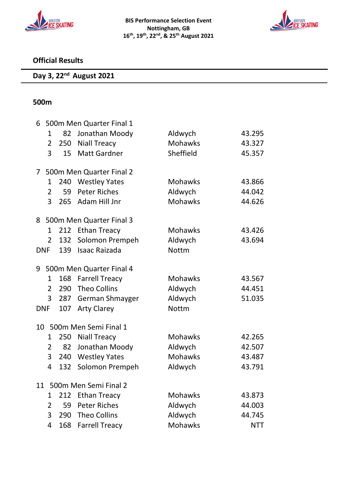



#### **Official Results**

## **Day 3, 22nd August 2021**

#### **500m**

| 6              |                | 500m Men Quarter Final 1 |                          |                |            |  |  |
|----------------|----------------|--------------------------|--------------------------|----------------|------------|--|--|
|                | 1              | 82                       | Jonathan Moody           | Aldwych        | 43.295     |  |  |
|                | $\overline{2}$ | 250                      | <b>Niall Treacy</b>      | <b>Mohawks</b> | 43.327     |  |  |
|                | 3              | 15                       | <b>Matt Gardner</b>      | Sheffield      | 45.357     |  |  |
| $\overline{7}$ |                |                          | 500m Men Quarter Final 2 |                |            |  |  |
|                | 1              | 240                      | <b>Westley Yates</b>     | <b>Mohawks</b> | 43.866     |  |  |
|                | $\overline{2}$ | 59                       | <b>Peter Riches</b>      | Aldwych        | 44.042     |  |  |
|                | 3              |                          | 265 Adam Hill Jnr        | <b>Mohawks</b> | 44.626     |  |  |
| 8              |                |                          | 500m Men Quarter Final 3 |                |            |  |  |
|                | 1              | 212                      | <b>Ethan Treacy</b>      | <b>Mohawks</b> | 43.426     |  |  |
|                | $\overline{2}$ | 132                      | Solomon Prempeh          | Aldwych        | 43.694     |  |  |
|                | <b>DNF</b>     | 139                      | <b>Isaac Raizada</b>     | <b>Nottm</b>   |            |  |  |
| 9              |                |                          | 500m Men Quarter Final 4 |                |            |  |  |
|                | 1              | 168                      | <b>Farrell Treacy</b>    | <b>Mohawks</b> | 43.567     |  |  |
|                | $\overline{2}$ |                          | 290 Theo Collins         | Aldwych        | 44.451     |  |  |
|                | 3              |                          | 287 German Shmayger      | Aldwych        | 51.035     |  |  |
|                | <b>DNF</b>     | 107                      | <b>Arty Clarey</b>       | <b>Nottm</b>   |            |  |  |
| 10             |                |                          | 500m Men Semi Final 1    |                |            |  |  |
|                | 1              | 250                      | <b>Niall Treacy</b>      | <b>Mohawks</b> | 42.265     |  |  |
|                | 2              | 82                       | Jonathan Moody           | Aldwych        | 42.507     |  |  |
|                | 3              |                          | 240 Westley Yates        | <b>Mohawks</b> | 43.487     |  |  |
|                | 4              | 132                      | Solomon Prempeh          | Aldwych        | 43.791     |  |  |
| 11             |                |                          | 500m Men Semi Final 2    |                |            |  |  |
|                | 1              | 212                      | <b>Ethan Treacy</b>      | <b>Mohawks</b> | 43.873     |  |  |
|                | $\overline{2}$ | 59                       | <b>Peter Riches</b>      | Aldwych        | 44.003     |  |  |
|                | 3              |                          | 290 Theo Collins         | Aldwych        | 44.745     |  |  |
|                | 4              | 168                      | <b>Farrell Treacy</b>    | <b>Mohawks</b> | <b>NTT</b> |  |  |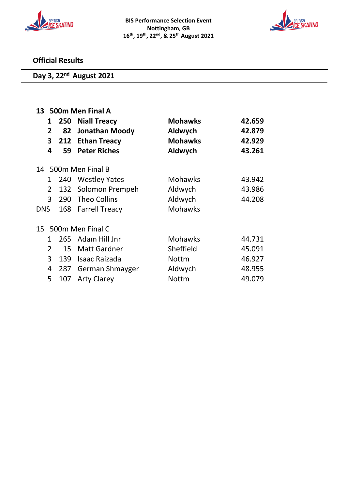



#### **Official Results**

## **Day 3, 22nd August 2021**

| 13             | 500m Men Final A |                       |                |        |  |
|----------------|------------------|-----------------------|----------------|--------|--|
| 1              | 250              | <b>Niall Treacy</b>   | <b>Mohawks</b> | 42.659 |  |
| $\mathbf{2}$   | 82               | <b>Jonathan Moody</b> | Aldwych        | 42.879 |  |
| 3              | 212              | <b>Ethan Treacy</b>   | <b>Mohawks</b> | 42.929 |  |
| 4              | 59               | <b>Peter Riches</b>   | Aldwych        | 43.261 |  |
|                |                  |                       |                |        |  |
|                |                  | 14 500m Men Final B   |                |        |  |
| 1              | 240              | <b>Westley Yates</b>  | <b>Mohawks</b> | 43.942 |  |
| 2              | 132              | Solomon Prempeh       | Aldwych        | 43.986 |  |
| 3              | <b>290</b>       | <b>Theo Collins</b>   | Aldwych        | 44.208 |  |
| <b>DNS</b>     |                  | 168 Farrell Treacy    | <b>Mohawks</b> |        |  |
|                |                  |                       |                |        |  |
|                |                  | 15 500m Men Final C   |                |        |  |
| 1              |                  | 265 Adam Hill Jnr     | <b>Mohawks</b> | 44.731 |  |
| $\overline{2}$ | 15               | <b>Matt Gardner</b>   | Sheffield      | 45.091 |  |
| 3              | 139              | <b>Isaac Raizada</b>  | <b>Nottm</b>   | 46.927 |  |
| 4              | 287              | German Shmayger       | Aldwych        | 48.955 |  |
| 5              | 107              | <b>Arty Clarey</b>    | <b>Nottm</b>   | 49.079 |  |
|                |                  |                       |                |        |  |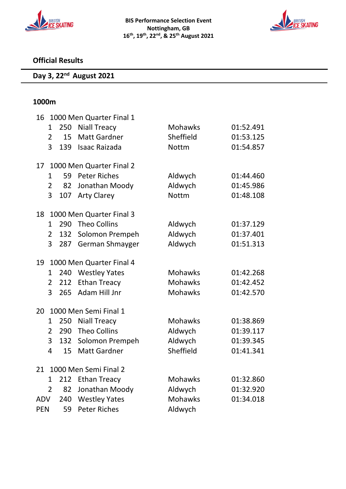



#### **Official Results**

## **Day 3, 22nd August 2021**

#### **1000m**

| 16         | 1000 Men Quarter Final 1 |     |                          |                |           |  |
|------------|--------------------------|-----|--------------------------|----------------|-----------|--|
|            | 1                        | 250 | <b>Niall Treacy</b>      | <b>Mohawks</b> | 01:52.491 |  |
|            | $\overline{2}$           | 15  | <b>Matt Gardner</b>      | Sheffield      | 01:53.125 |  |
|            | 3                        | 139 | <b>Isaac Raizada</b>     | <b>Nottm</b>   | 01:54.857 |  |
| 17         |                          |     | 1000 Men Quarter Final 2 |                |           |  |
|            | $\mathbf{1}$             | 59  | <b>Peter Riches</b>      | Aldwych        | 01:44.460 |  |
|            | $\overline{2}$           | 82  | Jonathan Moody           | Aldwych        | 01:45.986 |  |
|            | 3                        | 107 | <b>Arty Clarey</b>       | <b>Nottm</b>   | 01:48.108 |  |
| 18         |                          |     | 1000 Men Quarter Final 3 |                |           |  |
|            | $\mathbf{1}$             | 290 | <b>Theo Collins</b>      | Aldwych        | 01:37.129 |  |
|            | $\overline{2}$           | 132 | Solomon Prempeh          | Aldwych        | 01:37.401 |  |
|            | 3                        | 287 | German Shmayger          | Aldwych        | 01:51.313 |  |
| 19         |                          |     | 1000 Men Quarter Final 4 |                |           |  |
|            | 1                        | 240 | <b>Westley Yates</b>     | <b>Mohawks</b> | 01:42.268 |  |
|            | $\overline{2}$           | 212 | <b>Ethan Treacy</b>      | <b>Mohawks</b> | 01:42.452 |  |
|            | 3                        | 265 | Adam Hill Jnr            | <b>Mohawks</b> | 01:42.570 |  |
| 20         |                          |     | 1000 Men Semi Final 1    |                |           |  |
|            | 1                        | 250 | <b>Niall Treacy</b>      | <b>Mohawks</b> | 01:38.869 |  |
|            | $\overline{2}$           | 290 | <b>Theo Collins</b>      | Aldwych        | 01:39.117 |  |
|            | 3                        | 132 | Solomon Prempeh          | Aldwych        | 01:39.345 |  |
|            | $\overline{4}$           | 15  | <b>Matt Gardner</b>      | Sheffield      | 01:41.341 |  |
| 21         |                          |     | 1000 Men Semi Final 2    |                |           |  |
|            | $\mathbf 1$              | 212 | <b>Ethan Treacy</b>      | <b>Mohawks</b> | 01:32.860 |  |
|            | $\overline{2}$           | 82  | Jonathan Moody           | Aldwych        | 01:32.920 |  |
| <b>ADV</b> |                          | 240 | <b>Westley Yates</b>     | <b>Mohawks</b> | 01:34.018 |  |
| <b>PEN</b> |                          | 59  | <b>Peter Riches</b>      | Aldwych        |           |  |